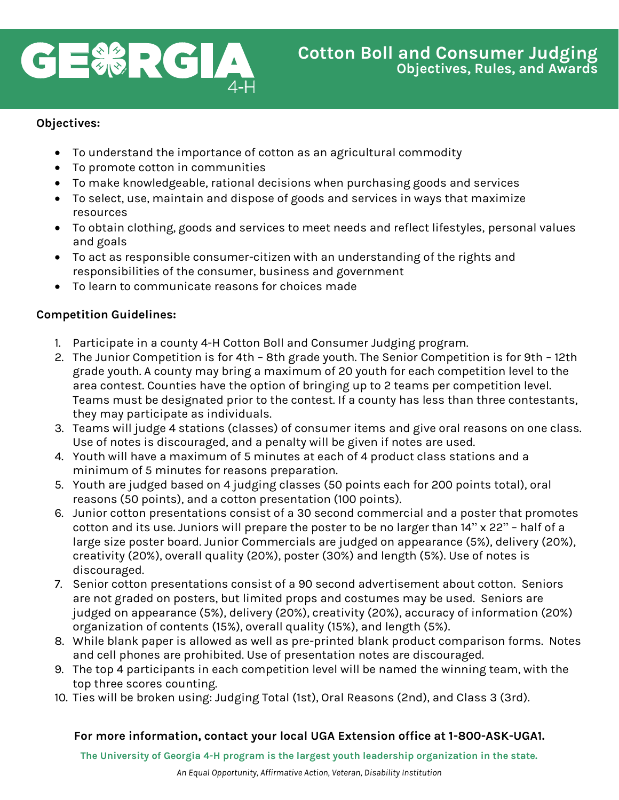

#### **Objectives:**

- To understand the importance of cotton as an agricultural commodity
- To promote cotton in communities
- To make knowledgeable, rational decisions when purchasing goods and services
- To select, use, maintain and dispose of goods and services in ways that maximize resources
- To obtain clothing, goods and services to meet needs and reflect lifestyles, personal values and goals
- To act as responsible consumer-citizen with an understanding of the rights and responsibilities of the consumer, business and government
- To learn to communicate reasons for choices made

#### **Competition Guidelines:**

- 1. Participate in a county 4-H Cotton Boll and Consumer Judging program.
- 2. The Junior Competition is for 4th 8th grade youth. The Senior Competition is for 9th 12th grade youth. A county may bring a maximum of 20 youth for each competition level to the area contest. Counties have the option of bringing up to 2 teams per competition level. Teams must be designated prior to the contest. If a county has less than three contestants, they may participate as individuals.
- 3. Teams will judge 4 stations (classes) of consumer items and give oral reasons on one class. Use of notes is discouraged, and a penalty will be given if notes are used.
- 4. Youth will have a maximum of 5 minutes at each of 4 product class stations and a minimum of 5 minutes for reasons preparation.
- 5. Youth are judged based on 4 judging classes (50 points each for 200 points total), oral reasons (50 points), and a cotton presentation (100 points).
- 6. Junior cotton presentations consist of a 30 second commercial and a poster that promotes cotton and its use. Juniors will prepare the poster to be no larger than 14" x 22" – half of a large size poster board. Junior Commercials are judged on appearance (5%), delivery (20%), creativity (20%), overall quality (20%), poster (30%) and length (5%). Use of notes is discouraged.
- 7. Senior cotton presentations consist of a 90 second advertisement about cotton. Seniors are not graded on posters, but limited props and costumes may be used. Seniors are judged on appearance (5%), delivery (20%), creativity (20%), accuracy of information (20%) organization of contents (15%), overall quality (15%), and length (5%).
- 8. While blank paper is allowed as well as pre-printed blank product comparison forms. Notes and cell phones are prohibited. Use of presentation notes are discouraged.
- 9. The top 4 participants in each competition level will be named the winning team, with the top three scores counting.
- 10. Ties will be broken using: Judging Total (1st), Oral Reasons (2nd), and Class 3 (3rd).

## **For more information, contact your local UGA Extension office at 1-800-ASK-UGA1.**

**The University of Georgia 4-H program is the largest youth leadership organization in the state.**